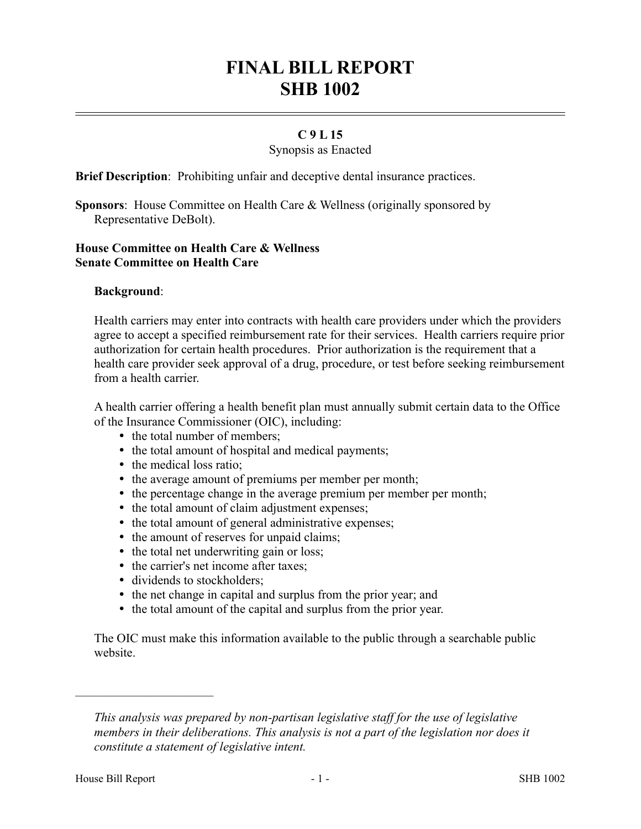# **FINAL BILL REPORT SHB 1002**

### **C 9 L 15**

#### Synopsis as Enacted

**Brief Description**: Prohibiting unfair and deceptive dental insurance practices.

**Sponsors**: House Committee on Health Care & Wellness (originally sponsored by Representative DeBolt).

## **House Committee on Health Care & Wellness Senate Committee on Health Care**

#### **Background**:

Health carriers may enter into contracts with health care providers under which the providers agree to accept a specified reimbursement rate for their services. Health carriers require prior authorization for certain health procedures. Prior authorization is the requirement that a health care provider seek approval of a drug, procedure, or test before seeking reimbursement from a health carrier.

A health carrier offering a health benefit plan must annually submit certain data to the Office of the Insurance Commissioner (OIC), including:

- the total number of members;
- the total amount of hospital and medical payments;
- the medical loss ratio;
- the average amount of premiums per member per month;
- the percentage change in the average premium per member per month;
- the total amount of claim adjustment expenses;
- the total amount of general administrative expenses;
- the amount of reserves for unpaid claims;
- the total net underwriting gain or loss;
- the carrier's net income after taxes;
- dividends to stockholders;
- the net change in capital and surplus from the prior year; and
- the total amount of the capital and surplus from the prior year.

The OIC must make this information available to the public through a searchable public website.

––––––––––––––––––––––

*This analysis was prepared by non-partisan legislative staff for the use of legislative members in their deliberations. This analysis is not a part of the legislation nor does it constitute a statement of legislative intent.*